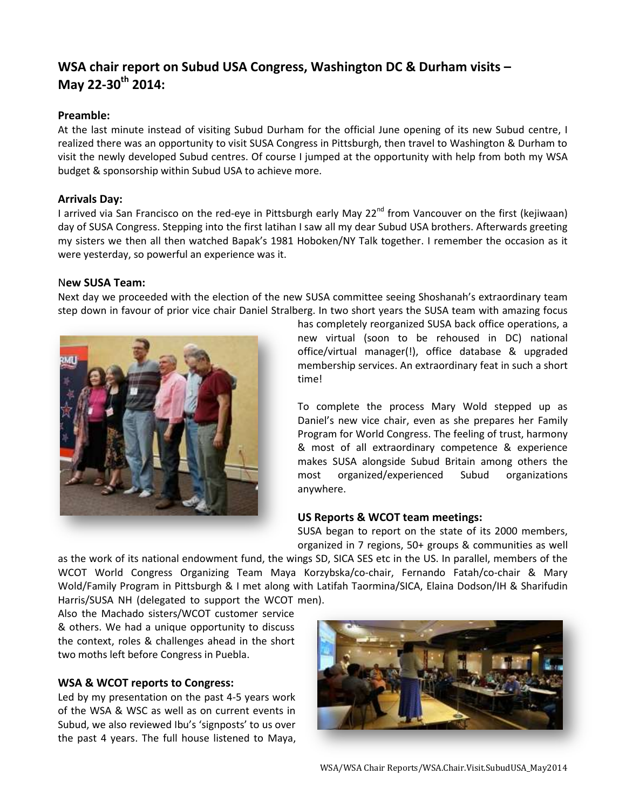# **WSA chair report on Subud USA Congress, Washington DC & Durham visits – May 22-30th 2014:**

## **Preamble:**

At the last minute instead of visiting Subud Durham for the official June opening of its new Subud centre, I realized there was an opportunity to visit SUSA Congress in Pittsburgh, then travel to Washington & Durham to visit the newly developed Subud centres. Of course I jumped at the opportunity with help from both my WSA budget & sponsorship within Subud USA to achieve more.

## **Arrivals Day:**

I arrived via San Francisco on the red-eye in Pittsburgh early May 22<sup>nd</sup> from Vancouver on the first (kejiwaan) day of SUSA Congress. Stepping into the first latihan I saw all my dear Subud USA brothers. Afterwards greeting my sisters we then all then watched Bapak's 1981 Hoboken/NY Talk together. I remember the occasion as it were yesterday, so powerful an experience was it.

## N**ew SUSA Team:**

Next day we proceeded with the election of the new SUSA committee seeing Shoshanah's extraordinary team step down in favour of prior vice chair Daniel Stralberg. In two short years the SUSA team with amazing focus



has completely reorganized SUSA back office operations, a new virtual (soon to be rehoused in DC) national office/virtual manager(!), office database & upgraded membership services. An extraordinary feat in such a short time!

To complete the process Mary Wold stepped up as Daniel's new vice chair, even as she prepares her Family Program for World Congress. The feeling of trust, harmony & most of all extraordinary competence & experience makes SUSA alongside Subud Britain among others the most organized/experienced Subud organizations anywhere.

## **US Reports & WCOT team meetings:**

SUSA began to report on the state of its 2000 members, organized in 7 regions, 50+ groups & communities as well

as the work of its national endowment fund, the wings SD, SICA SES etc in the US. In parallel, members of the WCOT World Congress Organizing Team Maya Korzybska/co-chair, Fernando Fatah/co-chair & Mary Wold/Family Program in Pittsburgh & I met along with Latifah Taormina/SICA, Elaina Dodson/IH & Sharifudin Harris/SUSA NH (delegated to support the WCOT men).

Also the Machado sisters/WCOT customer service & others. We had a unique opportunity to discuss the context, roles & challenges ahead in the short two moths left before Congress in Puebla.

## **WSA & WCOT reports to Congress:**

Led by my presentation on the past 4-5 years work of the WSA & WSC as well as on current events in Subud, we also reviewed Ibu's 'signposts' to us over the past 4 years. The full house listened to Maya,

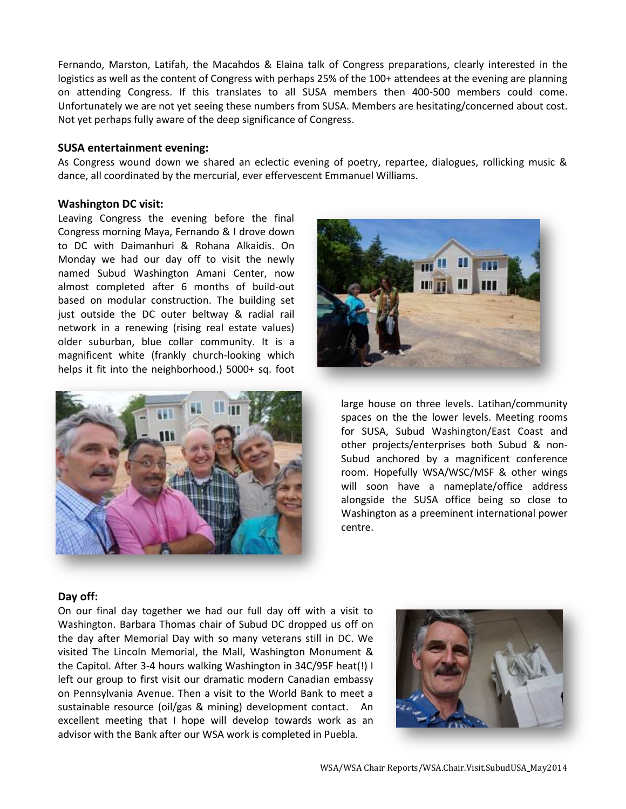Fernando, Marston, Latifah, the Macahdos & Elaina talk of Congress preparations, clearly interested in the logistics as well as the content of Congress with perhaps 25% of the 100+ attendees at the evening are planning on attending Congress. If this translates to all SUSA members then 400-500 members could come. Unfortunately we are not yet seeing these numbers from SUSA. Members are hesitating/concerned about cost. Not yet perhaps fully aware of the deep significance of Congress.

#### **SUSA entertainment evening:**

As Congress wound down we shared an eclectic evening of poetry, repartee, dialogues, rollicking music & dance, all coordinated by the mercurial, ever effervescent Emmanuel Williams.

#### **Washington DC visit:**

Leaving Congress the evening before the final Congress morning Maya, Fernando & I drove down to DC with Daimanhuri & Rohana Alkaidis. On Monday we had our day off to visit the newly named Subud Washington Amani Center, now almost completed after 6 months of build-out based on modular construction. The building set just outside the DC outer beltway & radial rail network in a renewing (rising real estate values) older suburban, blue collar community. It is a magnificent white (frankly church-looking which helps it fit into the neighborhood.) 5000+ sq. foot





large house on three levels. Latihan/community spaces on the the lower levels. Meeting rooms for SUSA, Subud Washington/East Coast and other projects/enterprises both Subud & non-Subud anchored by a magnificent conference room. Hopefully WSA/WSC/MSF & other wings will soon have a nameplate/office address alongside the SUSA office being so close to Washington as a preeminent international power centre.

## **Day off:**

On our final day together we had our full day off with a visit to Washington. Barbara Thomas chair of Subud DC dropped us off on the day after Memorial Day with so many veterans still in DC. We visited The Lincoln Memorial, the Mall, Washington Monument & the Capitol. After 3-4 hours walking Washington in 34C/95F heat(!) I left our group to first visit our dramatic modern Canadian embassy on Pennsylvania Avenue. Then a visit to the World Bank to meet a sustainable resource (oil/gas & mining) development contact. An excellent meeting that I hope will develop towards work as an advisor with the Bank after our WSA work is completed in Puebla.